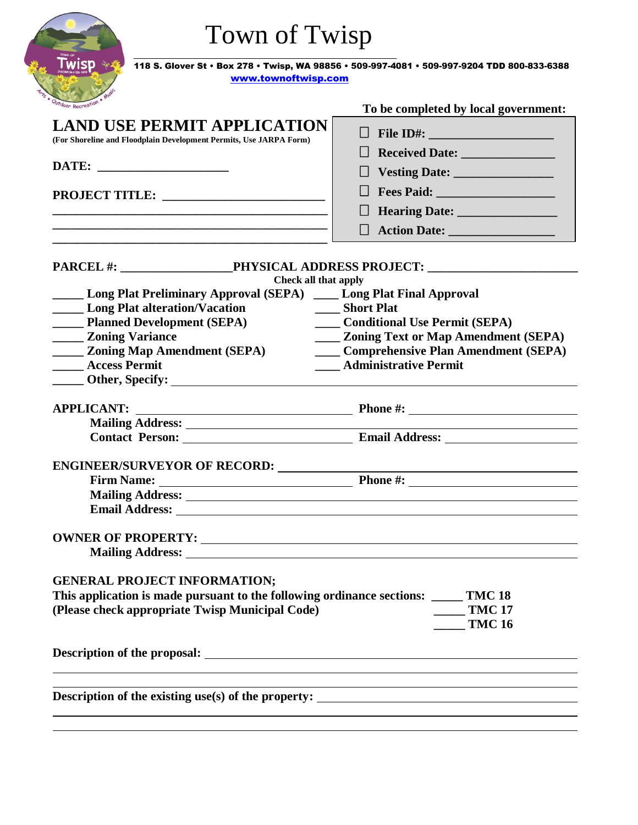| <b>Twisp</b>                                                                        | 118 S. Glover St · Box 278 · Twisp, WA 98856 · 509-997-4081 · 509-997-9204 TDD 800-833-6388 |
|-------------------------------------------------------------------------------------|---------------------------------------------------------------------------------------------|
| www.townoftwisp.com                                                                 |                                                                                             |
| <i><b>Moor Recreation</b></i>                                                       | To be completed by local government:                                                        |
| <b>LAND USE PERMIT APPLICATION</b>                                                  | $\Box$ File ID#:                                                                            |
| (For Shoreline and Floodplain Development Permits, Use JARPA Form)                  | $\Box$                                                                                      |
|                                                                                     |                                                                                             |
|                                                                                     | Fees Paid: <u>Discovered</u>                                                                |
|                                                                                     |                                                                                             |
|                                                                                     | Hearing Date: __________________                                                            |
|                                                                                     |                                                                                             |
|                                                                                     |                                                                                             |
| Check all that apply                                                                |                                                                                             |
| <b>Long Plat Preliminary Approval (SEPA)</b> Long Plat Final Approval               |                                                                                             |
| <b>Example 1</b> Long Plat alteration/Vacation                                      | Short Plat                                                                                  |
| <b>Example 2</b> Planned Development (SEPA)                                         | <b>Conditional Use Permit (SEPA)</b>                                                        |
| <b>_____ Zoning Variance</b>                                                        | <b>____ Zoning Text or Map Amendment (SEPA)</b>                                             |
| <b>EXAMPLE 2018 2018 21:25 Zoning Map Amendment (SEPA)</b>                          | <b>Comprehensive Plan Amendment (SEPA)</b>                                                  |
| <b>Access Permit</b><br>$\frac{1}{2}$                                               | <b>Administrative Permit</b>                                                                |
|                                                                                     |                                                                                             |
| <b>APPLICANT:</b>                                                                   | <b>Phone #:</b> Phone #:                                                                    |
|                                                                                     |                                                                                             |
| <b>Contact Person:</b> Email Address:                                               |                                                                                             |
| <b>ENGINEER/SURVEYOR OF RECORD:</b>                                                 |                                                                                             |
|                                                                                     |                                                                                             |
|                                                                                     |                                                                                             |
|                                                                                     |                                                                                             |
|                                                                                     |                                                                                             |
|                                                                                     |                                                                                             |
| <b>GENERAL PROJECT INFORMATION;</b>                                                 |                                                                                             |
| This application is made pursuant to the following ordinance sections: _____ TMC 18 |                                                                                             |
| (Please check appropriate Twisp Municipal Code)                                     | $\frac{1}{2}$ TMC 17<br><b>TMC 16</b>                                                       |
|                                                                                     |                                                                                             |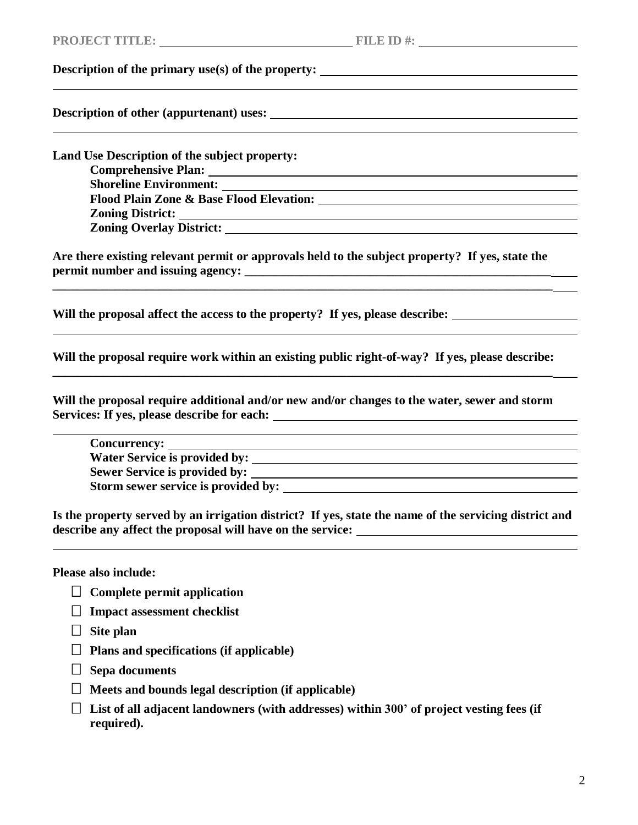## **Description of the primary use(s) of the property:**

**Description of other (appurtenant) uses:**

**Land Use Description of the subject property: Comprehensive Plan: Shoreline Environment: Flood Plain Zone & Base Flood Elevation: Zoning District:** <u> 1989 - Johann Stoff, deutscher Stoffen und der Stoffen und der Stoffen und der Stoffen und der Stoffen und der</u> **Zoning Overlay District:**

**Are there existing relevant permit or approvals held to the subject property? If yes, state the permit number and issuing agency: \_\_\_\_\_\_\_\_\_\_\_\_\_\_\_\_\_\_\_\_\_\_\_\_\_\_\_\_\_\_\_\_\_\_\_\_\_\_\_\_\_\_\_\_\_\_\_\_\_**

**\_\_\_\_\_\_\_\_\_\_\_\_\_\_\_\_\_\_\_\_\_\_\_\_\_\_\_\_\_\_\_\_\_\_\_\_\_\_\_\_\_\_\_\_\_\_\_\_\_\_\_\_\_\_\_\_\_\_\_\_\_\_\_\_\_\_\_\_\_\_\_\_\_\_\_\_\_\_\_\_**

**Will the proposal affect the access to the property? If yes, please describe:**

**Will the proposal require work within an existing public right-of-way? If yes, please describe: \_\_\_\_\_\_\_\_\_\_\_\_\_\_\_\_\_\_\_\_\_\_\_\_\_\_\_\_\_\_\_\_\_\_\_\_\_\_\_\_\_\_\_\_\_\_\_\_\_\_\_\_\_\_\_\_\_\_\_\_\_\_\_\_\_\_\_\_\_\_\_\_\_\_\_\_\_\_\_\_**

**Will the proposal require additional and/or new and/or changes to the water, sewer and storm Services: If yes, please describe for each:** 

**Concurrency: Water Service is provided by: Sewer Service is provided by: Storm sewer service is provided by:** 

**Is the property served by an irrigation district? If yes, state the name of the servicing district and describe any affect the proposal will have on the service:**

**Please also include:** 

- **Complete permit application**
- **Impact assessment checklist**
- **Site plan**
- **Plans and specifications (if applicable)**
- **Sepa documents**
- **Meets and bounds legal description (if applicable)**
- **List of all adjacent landowners (with addresses) within 300' of project vesting fees (if required).**